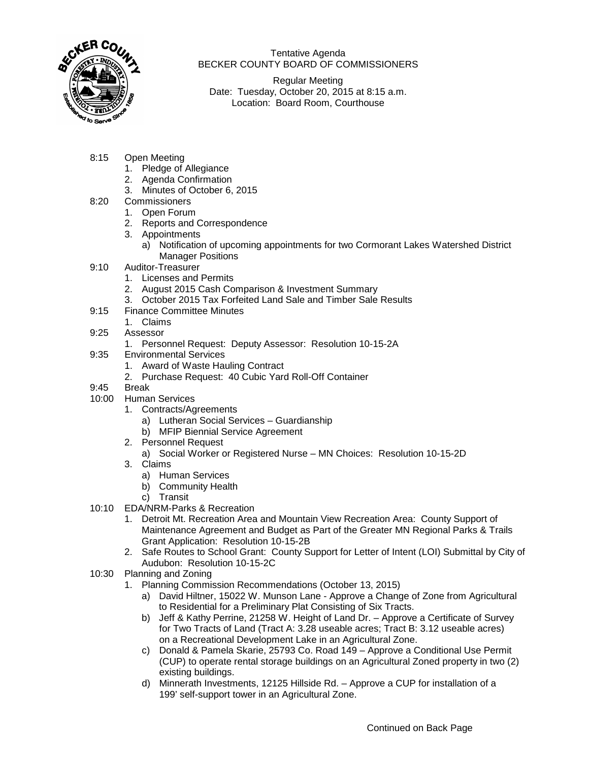

Tentative Agenda BECKER COUNTY BOARD OF COMMISSIONERS

Regular Meeting Date: Tuesday, October 20, 2015 at 8:15 a.m. Location: Board Room, Courthouse

- 8:15 Open Meeting
	- 1. Pledge of Allegiance
	- 2. Agenda Confirmation
	- 3. Minutes of October 6, 2015
- 8:20 Commissioners
	- 1. Open Forum
	- 2. Reports and Correspondence
	- 3. Appointments
		- a) Notification of upcoming appointments for two Cormorant Lakes Watershed District Manager Positions
- 9:10 Auditor-Treasurer
	- 1. Licenses and Permits
	- 2. August 2015 Cash Comparison & Investment Summary
	- 3. October 2015 Tax Forfeited Land Sale and Timber Sale Results
- 9:15 Finance Committee Minutes
	- 1. Claims
- 9:25 Assessor
	- 1. Personnel Request: Deputy Assessor: Resolution 10-15-2A
- 9:35 Environmental Services
	- 1. Award of Waste Hauling Contract
	- 2. Purchase Request: 40 Cubic Yard Roll-Off Container
- 9:45 Break
- 10:00 Human Services
	- 1. Contracts/Agreements
		- a) Lutheran Social Services Guardianship
		- b) MFIP Biennial Service Agreement
		- 2. Personnel Request
			- a) Social Worker or Registered Nurse MN Choices: Resolution 10-15-2D
		- 3. Claims
			- a) Human Services
			- b) Community Health
			- c) Transit
- 10:10 EDA/NRM-Parks & Recreation
	- 1. Detroit Mt. Recreation Area and Mountain View Recreation Area: County Support of Maintenance Agreement and Budget as Part of the Greater MN Regional Parks & Trails Grant Application: Resolution 10-15-2B
	- 2. Safe Routes to School Grant: County Support for Letter of Intent (LOI) Submittal by City of Audubon: Resolution 10-15-2C
- 10:30 Planning and Zoning
	- 1. Planning Commission Recommendations (October 13, 2015)
		- a) David Hiltner, 15022 W. Munson Lane Approve a Change of Zone from Agricultural to Residential for a Preliminary Plat Consisting of Six Tracts.
		- b) Jeff & Kathy Perrine, 21258 W. Height of Land Dr. Approve a Certificate of Survey for Two Tracts of Land (Tract A: 3.28 useable acres; Tract B: 3.12 useable acres) on a Recreational Development Lake in an Agricultural Zone.
		- c) Donald & Pamela Skarie, 25793 Co. Road 149 Approve a Conditional Use Permit (CUP) to operate rental storage buildings on an Agricultural Zoned property in two (2) existing buildings.
		- d) Minnerath Investments, 12125 Hillside Rd. Approve a CUP for installation of a 199' self-support tower in an Agricultural Zone.